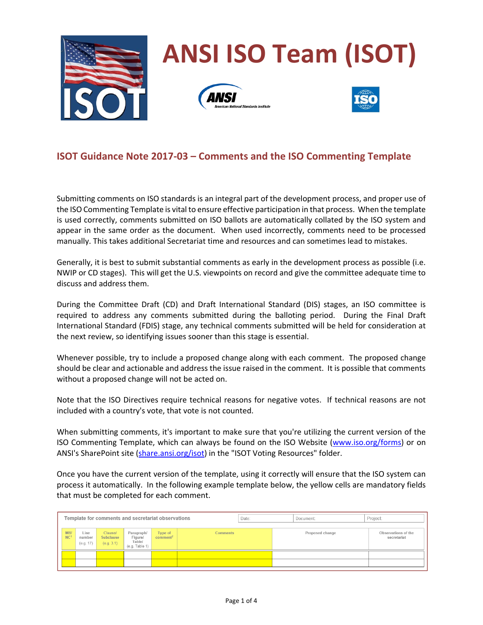

## **ISOT Guidance Note 2017-03 – Comments and the ISO Commenting Template**

Submitting comments on ISO standards is an integral part of the development process, and proper use of the ISO Commenting Template is vital to ensure effective participation in that process. When the template is used correctly, comments submitted on ISO ballots are automatically collated by the ISO system and appear in the same order as the document. When used incorrectly, comments need to be processed manually. This takes additional Secretariat time and resources and can sometimes lead to mistakes.

Generally, it is best to submit substantial comments as early in the development process as possible (i.e. NWIP or CD stages). This will get the U.S. viewpoints on record and give the committee adequate time to discuss and address them.

During the Committee Draft (CD) and Draft International Standard (DIS) stages, an ISO committee is required to address any comments submitted during the balloting period. During the Final Draft International Standard (FDIS) stage, any technical comments submitted will be held for consideration at the next review, so identifying issues sooner than this stage is essential.

Whenever possible, try to include a proposed change along with each comment. The proposed change should be clear and actionable and address the issue raised in the comment. It is possible that comments without a proposed change will not be acted on.

Note that the ISO Directives require technical reasons for negative votes. If technical reasons are not included with a country's vote, that vote is not counted.

When submitting comments, it's important to make sure that you're utilizing the current version of the ISO Commenting Template, which can always be found on the ISO Website (www.iso.org/forms) or on ANSI's SharePoint site (share.ansi.org/isot) in the "ISOT Voting Resources" folder.

Once you have the current version of the template, using it correctly will ensure that the ISO system can process it automatically. In the following example template below, the yellow cells are mandatory fields that must be completed for each comment.

| Template for comments and secretariat observations |                             |                                                  |                                                             |                                 |                 | Date: | Document:       | Project:                           |
|----------------------------------------------------|-----------------------------|--------------------------------------------------|-------------------------------------------------------------|---------------------------------|-----------------|-------|-----------------|------------------------------------|
| MBI<br>NC                                          | Line<br>number<br>(e.g. 17) | <b>Clausel</b><br><b>Subclause</b><br>(e.g. 3.1) | Paragraph/<br><b>Figure</b><br>Table/<br>$(e.q.$ Table $1)$ | Type of<br>comment <sup>2</sup> | <b>Comments</b> |       | Proposed change | Observations of the<br>secretariat |
|                                                    |                             |                                                  |                                                             |                                 |                 |       |                 |                                    |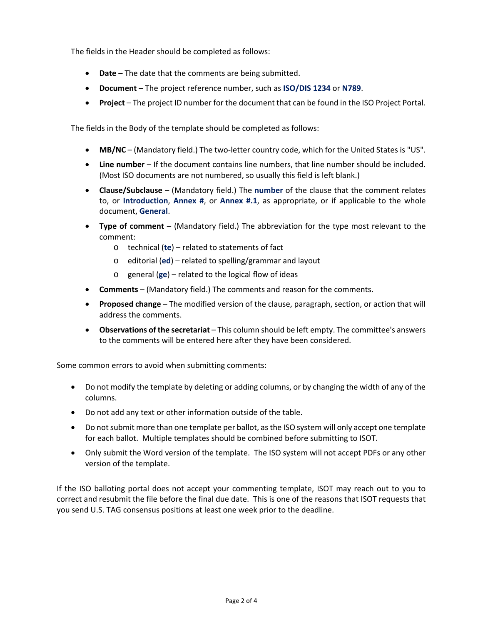The fields in the Header should be completed as follows:

- **Date** The date that the comments are being submitted.
- **Document** The project reference number, such as **ISO/DIS 1234** or **N789**.
- **Project** The project ID number for the document that can be found in the ISO Project Portal.

The fields in the Body of the template should be completed as follows:

- **MB/NC** (Mandatory field.) The two-letter country code, which for the United States is "US".
- **Line number** If the document contains line numbers, that line number should be included. (Most ISO documents are not numbered, so usually this field is left blank.)
- **Clause/Subclause** (Mandatory field.) The **number** of the clause that the comment relates to, or **Introduction**, **Annex #**, or **Annex #.1**, as appropriate, or if applicable to the whole document, **General**.
- **Type of comment** (Mandatory field.) The abbreviation for the type most relevant to the comment:
	- o technical (**te**) related to statements of fact
	- o editorial (**ed**) related to spelling/grammar and layout
	- o general (**ge**) related to the logical flow of ideas
- **Comments** (Mandatory field.) The comments and reason for the comments.
- **Proposed change** The modified version of the clause, paragraph, section, or action that will address the comments.
- **Observations of the secretariat**  This column should be left empty. The committee's answers to the comments will be entered here after they have been considered.

Some common errors to avoid when submitting comments:

- Do not modify the template by deleting or adding columns, or by changing the width of any of the columns.
- Do not add any text or other information outside of the table.
- Do not submit more than one template per ballot, as the ISO system will only accept one template for each ballot. Multiple templates should be combined before submitting to ISOT.
- Only submit the Word version of the template. The ISO system will not accept PDFs or any other version of the template.

If the ISO balloting portal does not accept your commenting template, ISOT may reach out to you to correct and resubmit the file before the final due date. This is one of the reasons that ISOT requests that you send U.S. TAG consensus positions at least one week prior to the deadline.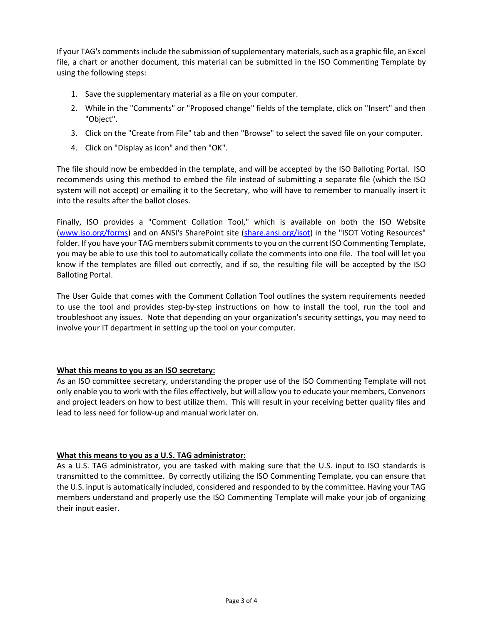If your TAG's comments include the submission of supplementary materials, such as a graphic file, an Excel file, a chart or another document, this material can be submitted in the ISO Commenting Template by using the following steps:

- 1. Save the supplementary material as a file on your computer.
- 2. While in the "Comments" or "Proposed change" fields of the template, click on "Insert" and then "Object".
- 3. Click on the "Create from File" tab and then "Browse" to select the saved file on your computer.
- 4. Click on "Display as icon" and then "OK".

The file should now be embedded in the template, and will be accepted by the ISO Balloting Portal. ISO recommends using this method to embed the file instead of submitting a separate file (which the ISO system will not accept) or emailing it to the Secretary, who will have to remember to manually insert it into the results after the ballot closes.

Finally, ISO provides a "Comment Collation Tool," which is available on both the ISO Website (www.iso.org/forms) and on ANSI's SharePoint site (share.ansi.org/isot) in the "ISOT Voting Resources" folder. If you have your TAG members submit comments to you on the current ISO Commenting Template, you may be able to use this tool to automatically collate the comments into one file. The tool will let you know if the templates are filled out correctly, and if so, the resulting file will be accepted by the ISO Balloting Portal.

The User Guide that comes with the Comment Collation Tool outlines the system requirements needed to use the tool and provides step-by-step instructions on how to install the tool, run the tool and troubleshoot any issues. Note that depending on your organization's security settings, you may need to involve your IT department in setting up the tool on your computer.

## **What this means to you as an ISO secretary:**

As an ISO committee secretary, understanding the proper use of the ISO Commenting Template will not only enable you to work with the files effectively, but will allow you to educate your members, Convenors and project leaders on how to best utilize them. This will result in your receiving better quality files and lead to less need for follow-up and manual work later on.

## **What this means to you as a U.S. TAG administrator:**

As a U.S. TAG administrator, you are tasked with making sure that the U.S. input to ISO standards is transmitted to the committee. By correctly utilizing the ISO Commenting Template, you can ensure that the U.S. input is automatically included, considered and responded to by the committee. Having your TAG members understand and properly use the ISO Commenting Template will make your job of organizing their input easier.